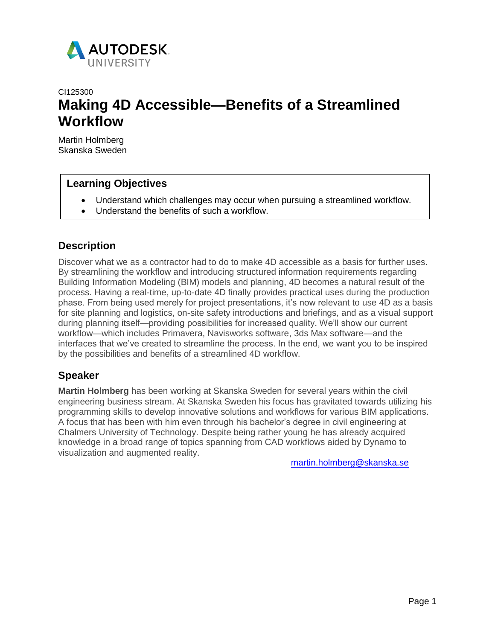

# CI125300 **Making 4D Accessible—Benefits of a Streamlined Workflow**

Martin Holmberg Skanska Sweden

## **Learning Objectives**

- Understand which challenges may occur when pursuing a streamlined workflow.
- Understand the benefits of such a workflow.

## **Description**

Discover what we as a contractor had to do to make 4D accessible as a basis for further uses. By streamlining the workflow and introducing structured information requirements regarding Building Information Modeling (BIM) models and planning, 4D becomes a natural result of the process. Having a real-time, up-to-date 4D finally provides practical uses during the production phase. From being used merely for project presentations, it's now relevant to use 4D as a basis for site planning and logistics, on-site safety introductions and briefings, and as a visual support during planning itself—providing possibilities for increased quality. We'll show our current workflow—which includes Primavera, Navisworks software, 3ds Max software—and the interfaces that we've created to streamline the process. In the end, we want you to be inspired by the possibilities and benefits of a streamlined 4D workflow.

## **Speaker**

**Martin Holmberg** has been working at Skanska Sweden for several years within the civil engineering business stream. At Skanska Sweden his focus has gravitated towards utilizing his programming skills to develop innovative solutions and workflows for various BIM applications. A focus that has been with him even through his bachelor's degree in civil engineering at Chalmers University of Technology. Despite being rather young he has already acquired knowledge in a broad range of topics spanning from CAD workflows aided by Dynamo to visuali[zation and augmented reality.](mailto:martin.holmberg@skanska.se) 

martin.holmberg@skanska.se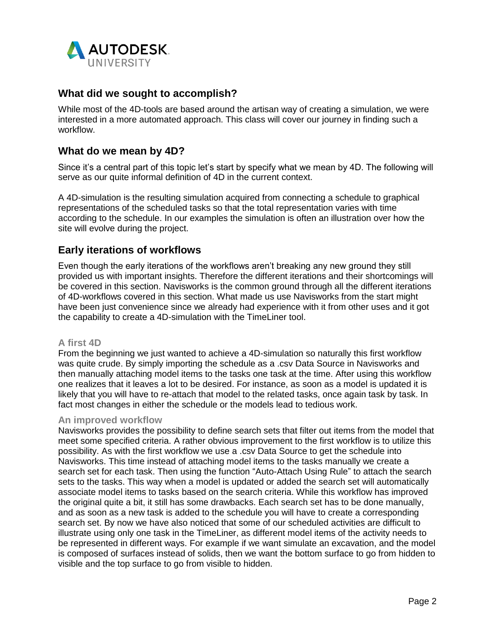

## **What did we sought to accomplish?**

While most of the 4D-tools are based around the artisan way of creating a simulation, we were interested in a more automated approach. This class will cover our journey in finding such a workflow.

### **What do we mean by 4D?**

Since it's a central part of this topic let's start by specify what we mean by 4D. The following will serve as our quite informal definition of 4D in the current context.

A 4D-simulation is the resulting simulation acquired from connecting a schedule to graphical representations of the scheduled tasks so that the total representation varies with time according to the schedule. In our examples the simulation is often an illustration over how the site will evolve during the project.

### **Early iterations of workflows**

Even though the early iterations of the workflows aren't breaking any new ground they still provided us with important insights. Therefore the different iterations and their shortcomings will be covered in this section. Navisworks is the common ground through all the different iterations of 4D-workflows covered in this section. What made us use Navisworks from the start might have been just convenience since we already had experience with it from other uses and it got the capability to create a 4D-simulation with the TimeLiner tool.

#### **A first 4D**

From the beginning we just wanted to achieve a 4D-simulation so naturally this first workflow was quite crude. By simply importing the schedule as a .csv Data Source in Navisworks and then manually attaching model items to the tasks one task at the time. After using this workflow one realizes that it leaves a lot to be desired. For instance, as soon as a model is updated it is likely that you will have to re-attach that model to the related tasks, once again task by task. In fact most changes in either the schedule or the models lead to tedious work.

#### **An improved workflow**

Navisworks provides the possibility to define search sets that filter out items from the model that meet some specified criteria. A rather obvious improvement to the first workflow is to utilize this possibility. As with the first workflow we use a .csv Data Source to get the schedule into Navisworks. This time instead of attaching model items to the tasks manually we create a search set for each task. Then using the function "Auto-Attach Using Rule" to attach the search sets to the tasks. This way when a model is updated or added the search set will automatically associate model items to tasks based on the search criteria. While this workflow has improved the original quite a bit, it still has some drawbacks. Each search set has to be done manually, and as soon as a new task is added to the schedule you will have to create a corresponding search set. By now we have also noticed that some of our scheduled activities are difficult to illustrate using only one task in the TimeLiner, as different model items of the activity needs to be represented in different ways. For example if we want simulate an excavation, and the model is composed of surfaces instead of solids, then we want the bottom surface to go from hidden to visible and the top surface to go from visible to hidden.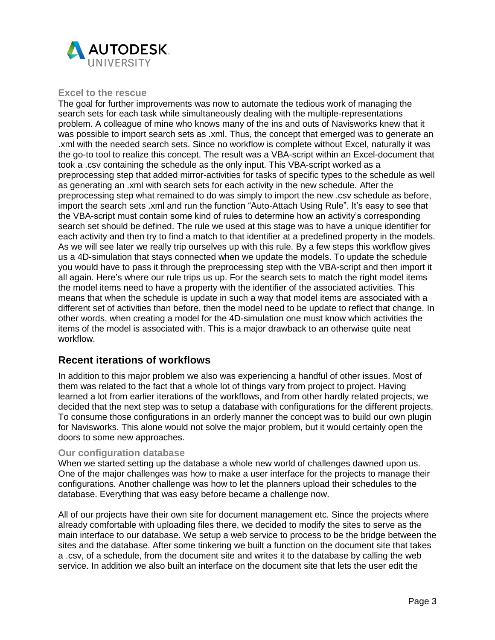

### **Excel to the rescue**

The goal for further improvements was now to automate the tedious work of managing the search sets for each task while simultaneously dealing with the multiple-representations problem. A colleague of mine who knows many of the ins and outs of Navisworks knew that it was possible to import search sets as .xml. Thus, the concept that emerged was to generate an .xml with the needed search sets. Since no workflow is complete without Excel, naturally it was the go-to tool to realize this concept. The result was a VBA-script within an Excel-document that took a .csv containing the schedule as the only input. This VBA-script worked as a preprocessing step that added mirror-activities for tasks of specific types to the schedule as well as generating an .xml with search sets for each activity in the new schedule. After the preprocessing step what remained to do was simply to import the new .csv schedule as before, import the search sets .xml and run the function "Auto-Attach Using Rule". It's easy to see that the VBA-script must contain some kind of rules to determine how an activity's corresponding search set should be defined. The rule we used at this stage was to have a unique identifier for each activity and then try to find a match to that identifier at a predefined property in the models. As we will see later we really trip ourselves up with this rule. By a few steps this workflow gives us a 4D-simulation that stays connected when we update the models. To update the schedule you would have to pass it through the preprocessing step with the VBA-script and then import it all again. Here's where our rule trips us up. For the search sets to match the right model items the model items need to have a property with the identifier of the associated activities. This means that when the schedule is update in such a way that model items are associated with a different set of activities than before, then the model need to be update to reflect that change. In other words, when creating a model for the 4D-simulation one must know which activities the items of the model is associated with. This is a major drawback to an otherwise quite neat workflow.

### **Recent iterations of workflows**

In addition to this major problem we also was experiencing a handful of other issues. Most of them was related to the fact that a whole lot of things vary from project to project. Having learned a lot from earlier iterations of the workflows, and from other hardly related projects, we decided that the next step was to setup a database with configurations for the different projects. To consume those configurations in an orderly manner the concept was to build our own plugin for Navisworks. This alone would not solve the major problem, but it would certainly open the doors to some new approaches.

#### **Our configuration database**

When we started setting up the database a whole new world of challenges dawned upon us. One of the major challenges was how to make a user interface for the projects to manage their configurations. Another challenge was how to let the planners upload their schedules to the database. Everything that was easy before became a challenge now.

All of our projects have their own site for document management etc. Since the projects where already comfortable with uploading files there, we decided to modify the sites to serve as the main interface to our database. We setup a web service to process to be the bridge between the sites and the database. After some tinkering we built a function on the document site that takes a .csv, of a schedule, from the document site and writes it to the database by calling the web service. In addition we also built an interface on the document site that lets the user edit the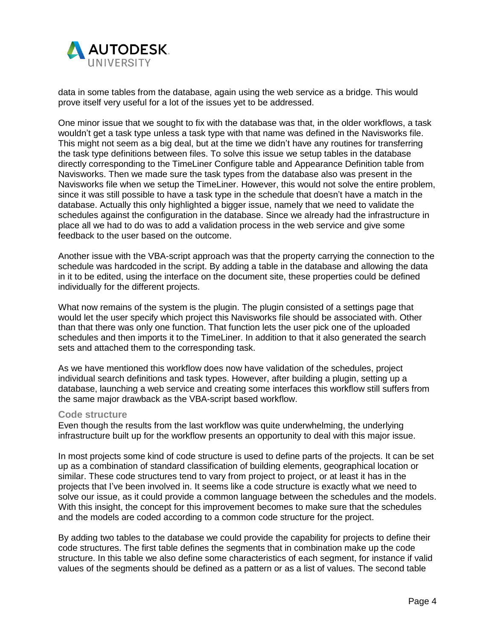

data in some tables from the database, again using the web service as a bridge. This would prove itself very useful for a lot of the issues yet to be addressed.

One minor issue that we sought to fix with the database was that, in the older workflows, a task wouldn't get a task type unless a task type with that name was defined in the Navisworks file. This might not seem as a big deal, but at the time we didn't have any routines for transferring the task type definitions between files. To solve this issue we setup tables in the database directly corresponding to the TimeLiner Configure table and Appearance Definition table from Navisworks. Then we made sure the task types from the database also was present in the Navisworks file when we setup the TimeLiner. However, this would not solve the entire problem, since it was still possible to have a task type in the schedule that doesn't have a match in the database. Actually this only highlighted a bigger issue, namely that we need to validate the schedules against the configuration in the database. Since we already had the infrastructure in place all we had to do was to add a validation process in the web service and give some feedback to the user based on the outcome.

Another issue with the VBA-script approach was that the property carrying the connection to the schedule was hardcoded in the script. By adding a table in the database and allowing the data in it to be edited, using the interface on the document site, these properties could be defined individually for the different projects.

What now remains of the system is the plugin. The plugin consisted of a settings page that would let the user specify which project this Navisworks file should be associated with. Other than that there was only one function. That function lets the user pick one of the uploaded schedules and then imports it to the TimeLiner. In addition to that it also generated the search sets and attached them to the corresponding task.

As we have mentioned this workflow does now have validation of the schedules, project individual search definitions and task types. However, after building a plugin, setting up a database, launching a web service and creating some interfaces this workflow still suffers from the same major drawback as the VBA-script based workflow.

#### **Code structure**

Even though the results from the last workflow was quite underwhelming, the underlying infrastructure built up for the workflow presents an opportunity to deal with this major issue.

In most projects some kind of code structure is used to define parts of the projects. It can be set up as a combination of standard classification of building elements, geographical location or similar. These code structures tend to vary from project to project, or at least it has in the projects that I've been involved in. It seems like a code structure is exactly what we need to solve our issue, as it could provide a common language between the schedules and the models. With this insight, the concept for this improvement becomes to make sure that the schedules and the models are coded according to a common code structure for the project.

By adding two tables to the database we could provide the capability for projects to define their code structures. The first table defines the segments that in combination make up the code structure. In this table we also define some characteristics of each segment, for instance if valid values of the segments should be defined as a pattern or as a list of values. The second table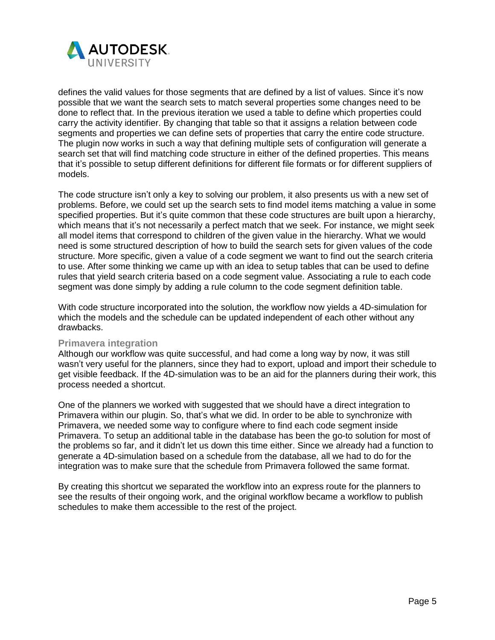

defines the valid values for those segments that are defined by a list of values. Since it's now possible that we want the search sets to match several properties some changes need to be done to reflect that. In the previous iteration we used a table to define which properties could carry the activity identifier. By changing that table so that it assigns a relation between code segments and properties we can define sets of properties that carry the entire code structure. The plugin now works in such a way that defining multiple sets of configuration will generate a search set that will find matching code structure in either of the defined properties. This means that it's possible to setup different definitions for different file formats or for different suppliers of models.

The code structure isn't only a key to solving our problem, it also presents us with a new set of problems. Before, we could set up the search sets to find model items matching a value in some specified properties. But it's quite common that these code structures are built upon a hierarchy, which means that it's not necessarily a perfect match that we seek. For instance, we might seek all model items that correspond to children of the given value in the hierarchy. What we would need is some structured description of how to build the search sets for given values of the code structure. More specific, given a value of a code segment we want to find out the search criteria to use. After some thinking we came up with an idea to setup tables that can be used to define rules that yield search criteria based on a code segment value. Associating a rule to each code segment was done simply by adding a rule column to the code segment definition table.

With code structure incorporated into the solution, the workflow now yields a 4D-simulation for which the models and the schedule can be updated independent of each other without any drawbacks.

#### **Primavera integration**

Although our workflow was quite successful, and had come a long way by now, it was still wasn't very useful for the planners, since they had to export, upload and import their schedule to get visible feedback. If the 4D-simulation was to be an aid for the planners during their work, this process needed a shortcut.

One of the planners we worked with suggested that we should have a direct integration to Primavera within our plugin. So, that's what we did. In order to be able to synchronize with Primavera, we needed some way to configure where to find each code segment inside Primavera. To setup an additional table in the database has been the go-to solution for most of the problems so far, and it didn't let us down this time either. Since we already had a function to generate a 4D-simulation based on a schedule from the database, all we had to do for the integration was to make sure that the schedule from Primavera followed the same format.

By creating this shortcut we separated the workflow into an express route for the planners to see the results of their ongoing work, and the original workflow became a workflow to publish schedules to make them accessible to the rest of the project.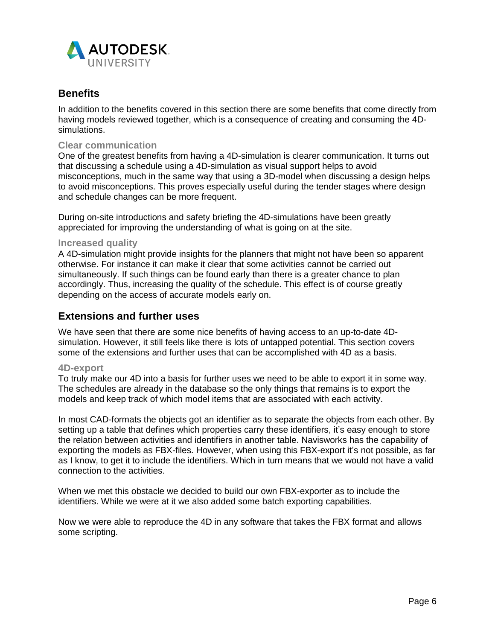

## **Benefits**

In addition to the benefits covered in this section there are some benefits that come directly from having models reviewed together, which is a consequence of creating and consuming the 4Dsimulations.

#### **Clear communication**

One of the greatest benefits from having a 4D-simulation is clearer communication. It turns out that discussing a schedule using a 4D-simulation as visual support helps to avoid misconceptions, much in the same way that using a 3D-model when discussing a design helps to avoid misconceptions. This proves especially useful during the tender stages where design and schedule changes can be more frequent.

During on-site introductions and safety briefing the 4D-simulations have been greatly appreciated for improving the understanding of what is going on at the site.

#### **Increased quality**

A 4D-simulation might provide insights for the planners that might not have been so apparent otherwise. For instance it can make it clear that some activities cannot be carried out simultaneously. If such things can be found early than there is a greater chance to plan accordingly. Thus, increasing the quality of the schedule. This effect is of course greatly depending on the access of accurate models early on.

## **Extensions and further uses**

We have seen that there are some nice benefits of having access to an up-to-date 4Dsimulation. However, it still feels like there is lots of untapped potential. This section covers some of the extensions and further uses that can be accomplished with 4D as a basis.

#### **4D-export**

To truly make our 4D into a basis for further uses we need to be able to export it in some way. The schedules are already in the database so the only things that remains is to export the models and keep track of which model items that are associated with each activity.

In most CAD-formats the objects got an identifier as to separate the objects from each other. By setting up a table that defines which properties carry these identifiers, it's easy enough to store the relation between activities and identifiers in another table. Navisworks has the capability of exporting the models as FBX-files. However, when using this FBX-export it's not possible, as far as I know, to get it to include the identifiers. Which in turn means that we would not have a valid connection to the activities.

When we met this obstacle we decided to build our own FBX-exporter as to include the identifiers. While we were at it we also added some batch exporting capabilities.

Now we were able to reproduce the 4D in any software that takes the FBX format and allows some scripting.